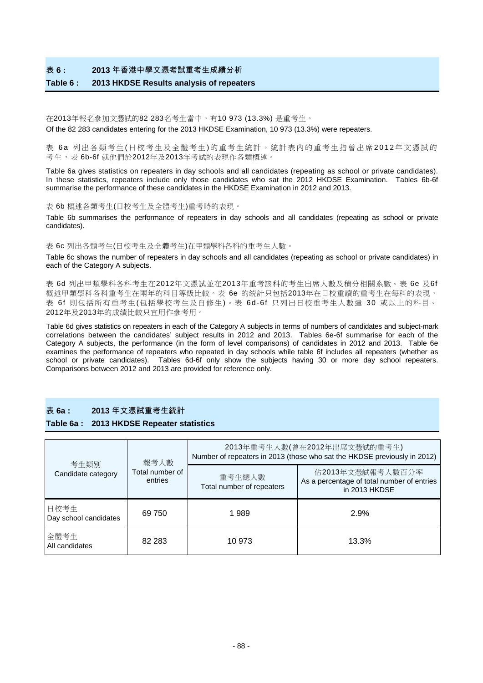### 表 **6 : 2013** 年香港中學文憑考試重考生成績分析

#### **Table 6 : 2013 HKDSE Results analysis of repeaters**

#### 在2013年報名參加文憑試的82 283名考生當中,有10 973 (13.3%) 是重考生。

Of the 82 283 candidates entering for the 2013 HKDSE Examination, 10 973 (13.3%) were repeaters.

表 6a 列出各類考生 ( 日校考生及全體考生 ) 的重考生統計。統計表內的重考生指曾出席 2012 年文憑試的 考生,表 6b-6f 就他們於2012年及2013年考試的表現作各類概述。

Table 6a gives statistics on repeaters in day schools and all candidates (repeating as school or private candidates). In these statistics, repeaters include only those candidates who sat the 2012 HKDSE Examination. Tables 6b-6f summarise the performance of these candidates in the HKDSE Examination in 2012 and 2013.

#### 表 6b 概述各類考生(日校考生及全體考生)重考時的表現。

Table 6b summarises the performance of repeaters in day schools and all candidates (repeating as school or private candidates).

表 6c 列出各類考生(日校考生及全體考生)在甲類學科各科的重考生人數。

Table 6c shows the number of repeaters in day schools and all candidates (repeating as school or private candidates) in each of the Category A subjects.

表 6d 列出甲類學科各科考生在2012年文憑試並在2013年重考該科的考生出席人數及積分相關系數。表 6e 及6f 概述甲類學科各科重考生在兩年的科目等級比較。表 6e 的統計只包括2013年在日校重讀的重考生在每科的表現, 表 6f 則包括所有重考生(包括學校考生及自修生)。表 6d-6f 只列出日校重考生人數達 30 或以上的科目。 2012年及2013年的成績比較只宜用作參考用。

Table 6d gives statistics on repeaters in each of the Category A subjects in terms of numbers of candidates and subject-mark correlations between the candidates' subject results in 2012 and 2013. Tables 6e-6f summarise for each of the Category A subjects, the performance (in the form of level comparisons) of candidates in 2012 and 2013. Table 6e examines the performance of repeaters who repeated in day schools while table 6f includes all repeaters (whether as school or private candidates). Tables 6d-6f only show the subjects having 30 or more day school repeaters. Comparisons between 2012 and 2013 are provided for reference only.

### 表 **6a : 2013** 年文憑試重考生統計

#### **Table 6a : 2013 HKDSE Repeater statistics**

| 考生類別                          | 報考人數                       | 2013年重考生人數(曾在2012年出席文憑試的重考生)<br>Number of repeaters in 2013 (those who sat the HKDSE previously in 2012) |                                                                                 |  |  |  |
|-------------------------------|----------------------------|----------------------------------------------------------------------------------------------------------|---------------------------------------------------------------------------------|--|--|--|
| Candidate category            | Total number of<br>entries | 重考生總人數<br>Total number of repeaters                                                                      | 佔2013年文憑試報考人數百分率<br>As a percentage of total number of entries<br>in 2013 HKDSE |  |  |  |
| 日校考生<br>Day school candidates | 69 750                     | 1989                                                                                                     | 2.9%                                                                            |  |  |  |
| 全體考生<br>All candidates        | 82 2 83                    | 10 973                                                                                                   | 13.3%                                                                           |  |  |  |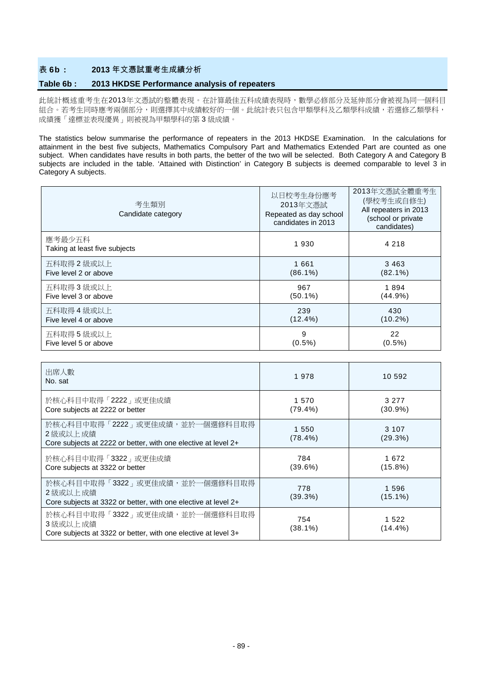### 表 **6b : 2013** 年文憑試重考生成績分析

### **Table 6b : 2013 HKDSE Performance analysis of repeaters**

此統計概述重考生在2013年文憑試的整體表現。在計算最佳五科成績表現時,數學必修部分及延伸部分會被視為同一個科目 組合。若考生同時應考兩個部分,則選擇其中成績較好的一個。此統計表只包含甲類學科及乙類學科成績,若選修乙類學科, 成績獲「達標並表現優異」則被視為甲類學科的第 3 級成績。

The statistics below summarise the performance of repeaters in the 2013 HKDSE Examination. In the calculations for attainment in the best five subjects, Mathematics Compulsory Part and Mathematics Extended Part are counted as one subject. When candidates have results in both parts, the better of the two will be selected. Both Category A and Category B subjects are included in the table. 'Attained with Distinction' in Category B subjects is deemed comparable to level 3 in Category A subjects.

| 考生類別<br>Candidate category              | 以日校考生身份應考<br>2013年文憑試<br>Repeated as day school<br>candidates in 2013 | 2013年文憑試全體重考生<br>(學校考生或自修生)<br>All repeaters in 2013<br>(school or private<br>candidates) |
|-----------------------------------------|-----------------------------------------------------------------------|-------------------------------------------------------------------------------------------|
| 應考最少五科<br>Taking at least five subjects | 1930                                                                  | 4 2 1 8                                                                                   |
| 五科取得 2 級或以上                             | 1 661                                                                 | 3 4 6 3                                                                                   |
| Five level 2 or above                   | $(86.1\%)$                                                            | $(82.1\%)$                                                                                |
| 五科取得3級或以上                               | 967                                                                   | 1894                                                                                      |
| Five level 3 or above                   | $(50.1\%)$                                                            | (44.9%)                                                                                   |
| 五科取得 4 級或以上                             | 239                                                                   | 430                                                                                       |
| Five level 4 or above                   | $(12.4\%)$                                                            | $(10.2\%)$                                                                                |
| 五科取得5級或以上                               | 9                                                                     | 22                                                                                        |
| Five level 5 or above                   | $(0.5\%)$                                                             | $(0.5\%)$                                                                                 |

| 出席人數<br>No. sat                                                                                               | 1978                | 10 592              |
|---------------------------------------------------------------------------------------------------------------|---------------------|---------------------|
| 於核心科目中取得「2222」或更佳成績<br>Core subjects at 2222 or better                                                        | 1 570<br>$(79.4\%)$ | 3 2 7 7<br>(30.9%)  |
| 於核心科目中取得「2222」或更佳成績,並於一個選修科目取得<br>2 級或以上 成績<br>Core subjects at 2222 or better, with one elective at level 2+ | 1 550<br>$(78.4\%)$ | 3 107<br>(29.3%)    |
| 於核心科目中取得「3322」或更佳成績<br>Core subjects at 3322 or better                                                        | 784<br>(39.6%)      | 1 672<br>$(15.8\%)$ |
| 於核心科目中取得「3322」或更佳成績,並於一個選修科目取得<br>2 級或以上 成績<br>Core subjects at 3322 or better, with one elective at level 2+ | 778<br>(39.3%)      | 1 596<br>$(15.1\%)$ |
| 於核心科目中取得「3322」或更佳成績,並於一個選修科目取得<br>3 級或以上 成績<br>Core subjects at 3322 or better, with one elective at level 3+ | 754<br>(38.1%)      | 1 5 2 2<br>(14.4%)  |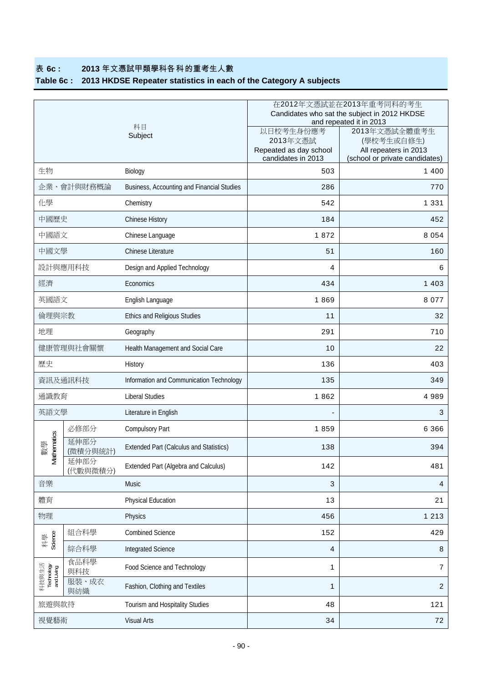# 表 **6c : 2013** 年文憑試甲類學科各科的重考生人數

# **Table 6c : 2013 HKDSE Repeater statistics in each of the Category A subjects**

|                                   |                  |                                                | 在2012年文憑試並在2013年重考同科的考生<br>Candidates who sat the subject in 2012 HKDSE<br>and repeated it in 2013 |                                                                                        |  |  |  |
|-----------------------------------|------------------|------------------------------------------------|----------------------------------------------------------------------------------------------------|----------------------------------------------------------------------------------------|--|--|--|
|                                   |                  | 科目<br>Subject                                  | 以日校考生身份應考<br>2013年文憑試<br>Repeated as day school<br>candidates in 2013                              | 2013年文憑試全體重考生<br>(學校考生或自修生)<br>All repeaters in 2013<br>(school or private candidates) |  |  |  |
| 生物                                |                  | Biology                                        | 503                                                                                                | 1 400                                                                                  |  |  |  |
|                                   | 企業、會計與財務概論       | Business, Accounting and Financial Studies     | 286                                                                                                | 770                                                                                    |  |  |  |
| 化學                                |                  | Chemistry                                      | 542                                                                                                | 1 3 3 1                                                                                |  |  |  |
| 中國歷史                              |                  | Chinese History                                | 184                                                                                                | 452                                                                                    |  |  |  |
| 中國語文                              |                  | Chinese Language                               | 1872                                                                                               | 8 0 5 4                                                                                |  |  |  |
| 中國文學                              |                  | Chinese Literature                             | 51                                                                                                 | 160                                                                                    |  |  |  |
|                                   | 設計與應用科技          | Design and Applied Technology                  | 4                                                                                                  | 6                                                                                      |  |  |  |
| 經濟                                |                  | Economics                                      | 434                                                                                                | 1 4 0 3                                                                                |  |  |  |
| 英國語文                              |                  | English Language                               | 1869                                                                                               | 8 0 7 7                                                                                |  |  |  |
| 倫理與宗教                             |                  | Ethics and Religious Studies                   | 11                                                                                                 | 32                                                                                     |  |  |  |
| 地理                                |                  | Geography                                      | 291                                                                                                | 710                                                                                    |  |  |  |
|                                   | 健康管理與社會關懷        | Health Management and Social Care              | 10                                                                                                 | 22                                                                                     |  |  |  |
| 歷史                                |                  | History                                        | 136                                                                                                | 403                                                                                    |  |  |  |
|                                   | 資訊及通訊科技          | Information and Communication Technology       | 135                                                                                                | 349                                                                                    |  |  |  |
| 通識教育                              |                  | <b>Liberal Studies</b>                         | 1862                                                                                               | 4 9 8 9                                                                                |  |  |  |
| 英語文學                              |                  | Literature in English                          |                                                                                                    | 3                                                                                      |  |  |  |
|                                   | 必修部分             | Compulsory Part                                | 1859                                                                                               | 6 3 6 6                                                                                |  |  |  |
| thematics<br>數學                   | 延伸部分<br>(微積分與統計) | <b>Extended Part (Calculus and Statistics)</b> | 138                                                                                                | 394                                                                                    |  |  |  |
| δ                                 | 延伸部分<br>(代數與微積分) | Extended Part (Algebra and Calculus)           | 142                                                                                                | 481                                                                                    |  |  |  |
| 音樂                                |                  | Music                                          | $\mathbf{3}$                                                                                       | 4                                                                                      |  |  |  |
| 體育                                |                  | Physical Education                             | 13                                                                                                 | 21                                                                                     |  |  |  |
| 物理                                |                  | Physics                                        | 456                                                                                                | 1 2 1 3                                                                                |  |  |  |
|                                   | 組合科學             | <b>Combined Science</b>                        | 152                                                                                                | 429                                                                                    |  |  |  |
| Science<br>科學                     | 綜合科學             | Integrated Science                             | $\overline{4}$                                                                                     | $\, 8$                                                                                 |  |  |  |
| 科技與生活<br>Technology<br>and Living | 食品科學<br>與科技      | Food Science and Technology                    | 1                                                                                                  | $\overline{7}$                                                                         |  |  |  |
|                                   | 服裝、成衣<br>與紡織     | Fashion, Clothing and Textiles                 | $\mathbf{1}$                                                                                       | $\boldsymbol{2}$                                                                       |  |  |  |
| 旅遊與款待                             |                  | Tourism and Hospitality Studies                | 48                                                                                                 | 121                                                                                    |  |  |  |
| 視覺藝術                              |                  | <b>Visual Arts</b>                             | 34                                                                                                 | 72                                                                                     |  |  |  |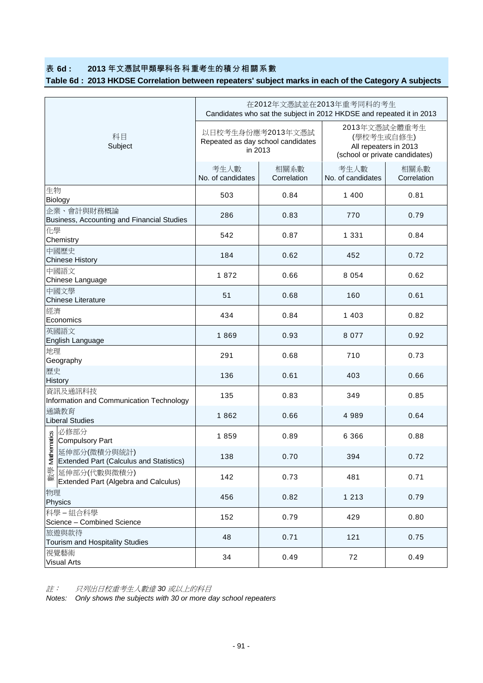## 表 **6d : 2013** 年文憑試甲類學科各科重考生的積分相關系數

# **Table 6d : 2013 HKDSE Correlation between repeaters' subject marks in each of the Category A subjects**

|                                                                | 在2012年文憑試並在2013年重考同科的考生<br>Candidates who sat the subject in 2012 HKDSE and repeated it in 2013 |                     |                                                                                        |                     |  |  |  |
|----------------------------------------------------------------|-------------------------------------------------------------------------------------------------|---------------------|----------------------------------------------------------------------------------------|---------------------|--|--|--|
| 科目<br>Subject                                                  | 以日校考生身份應考2013年文憑試<br>Repeated as day school candidates<br>in 2013                               |                     | 2013年文憑試全體重考生<br>(學校考生或自修生)<br>All repeaters in 2013<br>(school or private candidates) |                     |  |  |  |
|                                                                | 考生人數<br>No. of candidates                                                                       | 相關系數<br>Correlation | 考生人數<br>No. of candidates                                                              | 相關系數<br>Correlation |  |  |  |
| 生物<br>Biology                                                  | 503                                                                                             | 0.84                | 1 4 0 0                                                                                | 0.81                |  |  |  |
| 企業、會計與財務概論<br>Business, Accounting and Financial Studies       | 286                                                                                             | 0.83                | 770                                                                                    | 0.79                |  |  |  |
| 化學<br>Chemistry                                                | 542                                                                                             | 0.87                | 1 3 3 1                                                                                | 0.84                |  |  |  |
| 中國歷史<br><b>Chinese History</b>                                 | 184                                                                                             | 0.62                | 452                                                                                    | 0.72                |  |  |  |
| 中國語文<br>Chinese Language                                       | 1872                                                                                            | 0.66                | 8 0 5 4                                                                                | 0.62                |  |  |  |
| 中國文學<br>Chinese Literature                                     | 51                                                                                              | 0.68                | 160                                                                                    | 0.61                |  |  |  |
| 經濟<br>Economics                                                | 434                                                                                             | 0.84                | 1 4 0 3                                                                                | 0.82                |  |  |  |
| 英國語文<br>English Language                                       | 1869                                                                                            | 0.93                | 8 0 7 7                                                                                | 0.92                |  |  |  |
| 地理<br>Geography                                                | 291                                                                                             | 0.68                | 710                                                                                    | 0.73                |  |  |  |
| 歷史<br>History                                                  | 136                                                                                             | 0.61                | 403                                                                                    | 0.66                |  |  |  |
| 資訊及通訊科技<br>Information and Communication Technology            | 135                                                                                             | 0.83                | 349                                                                                    | 0.85                |  |  |  |
| 通識教育<br><b>Liberal Studies</b>                                 | 1862                                                                                            | 0.66                | 4 9 8 9                                                                                | 0.64                |  |  |  |
| 必修部分<br>thematics<br>Compulsory Part                           | 1859                                                                                            | 0.89                | 6 3 6 6                                                                                | 0.88                |  |  |  |
| 延伸部分(微積分與統計)<br>$\leq$ Extended Part (Calculus and Statistics) | 138                                                                                             | 0.70                | 394                                                                                    | 0.72                |  |  |  |
| 數學<br>延伸部分(代數與微積分)<br>Extended Part (Algebra and Calculus)     | 142                                                                                             | 0.73                | 481                                                                                    | 0.71                |  |  |  |
| 物理<br>Physics                                                  | 456                                                                                             | 0.82                | 1 2 1 3                                                                                | 0.79                |  |  |  |
| 科學-組合科學<br>Science - Combined Science                          | 152                                                                                             | 0.79                | 429                                                                                    | 0.80                |  |  |  |
| 旅遊與款待<br>Tourism and Hospitality Studies                       | 48                                                                                              | 0.71                | 121                                                                                    | 0.75                |  |  |  |
| 視覺藝術<br><b>Visual Arts</b>                                     | 34                                                                                              | 0.49                | 72                                                                                     | 0.49                |  |  |  |

註: 只列出日校重考生人數達 *30* 或以上的科目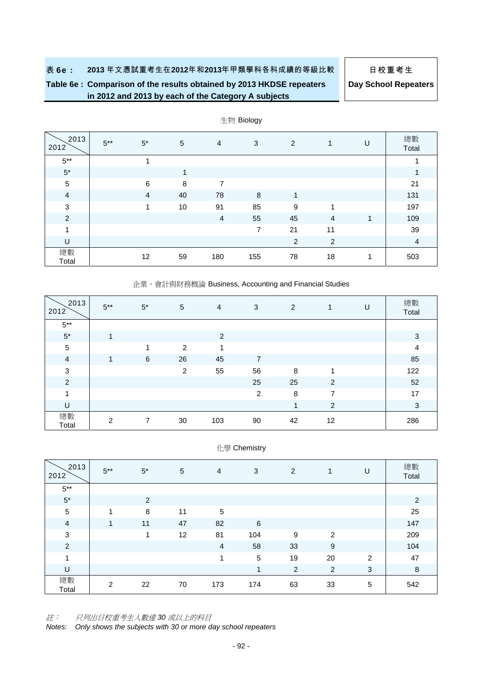# **Table 6e : Comparison of the results obtained by 2013 HKDSE repeaters in 2012 and 2013 by each of the Category A subjects**

**Day School Repeaters**

| 2013<br>2012   | $5***$ | $5^*$          | $\sqrt{5}$ | $\overline{4}$ | 3   | 2              | 1              | U | 總數<br>Total    |
|----------------|--------|----------------|------------|----------------|-----|----------------|----------------|---|----------------|
| $5^{\ast\ast}$ |        | A              |            |                |     |                |                |   | 1              |
| $5^*$          |        |                | 1          |                |     |                |                |   | 1              |
| $\sqrt{5}$     |        | $\,6$          | 8          | 7              |     |                |                |   | 21             |
| $\overline{4}$ |        | $\overline{4}$ | 40         | 78             | 8   | 1              |                |   | 131            |
| 3              |        | 1              | 10         | 91             | 85  | 9              | 1              |   | 197            |
| $\overline{2}$ |        |                |            | $\overline{4}$ | 55  | 45             | $\overline{4}$ | 1 | 109            |
| $\overline{ }$ |        |                |            |                | 7   | 21             | 11             |   | 39             |
| $\cup$         |        |                |            |                |     | $\overline{2}$ | $\overline{2}$ |   | $\overline{4}$ |
| 總數<br>Total    |        | 12             | 59         | 180            | 155 | 78             | 18             | 1 | 503            |

生物 Biology

#### 企業、會計與財務概論 Business, Accounting and Financial Studies

| 2013<br>2012   | $5***$         | $5^*$ | 5  | 4   | 3              | $\overline{2}$          |                | U | 總數<br>Total    |
|----------------|----------------|-------|----|-----|----------------|-------------------------|----------------|---|----------------|
| $5***$         |                |       |    |     |                |                         |                |   |                |
| $5^{\star}$    | 1              |       |    | 2   |                |                         |                |   | 3              |
| $\sqrt{5}$     |                |       | 2  | 1   |                |                         |                |   | $\overline{4}$ |
| $\overline{4}$ | $\overline{1}$ | 6     | 26 | 45  | 7              |                         |                |   | 85             |
| 3              |                |       | 2  | 55  | 56             | 8                       | 1              |   | 122            |
| $\overline{c}$ |                |       |    |     | 25             | 25                      | 2              |   | 52             |
| 1              |                |       |    |     | $\overline{2}$ | 8                       | 7              |   | 17             |
| $\sf U$        |                |       |    |     |                | $\overline{\mathbf{A}}$ | $\overline{2}$ |   | $\mathbf{3}$   |
| 總數<br>Total    | 2              | 7     | 30 | 103 | 90             | 42                      | 12             |   | 286            |

|  |  | 化學 Chemistry |
|--|--|--------------|
|--|--|--------------|

| 2013<br>2012   | $5***$ | $5^*$ | 5  | 4   | 3   | 2  | 1              | U | 總數<br>Total |
|----------------|--------|-------|----|-----|-----|----|----------------|---|-------------|
| $5***$         |        |       |    |     |     |    |                |   |             |
| $5^{\star}$    |        | 2     |    |     |     |    |                |   | 2           |
| $\sqrt{5}$     | 1      | 8     | 11 | 5   |     |    |                |   | 25          |
| $\overline{4}$ | 1      | 11    | 47 | 82  | 6   |    |                |   | 147         |
| $\sqrt{3}$     |        | 1     | 12 | 81  | 104 | 9  | $\overline{2}$ |   | 209         |
| $\overline{c}$ |        |       |    | 4   | 58  | 33 | 9              |   | 104         |
| 1              |        |       |    | 4   | 5   | 19 | 20             | 2 | 47          |
| U              |        |       |    |     | 1   | 2  | 2              | 3 | $\,8\,$     |
| 總數<br>Total    | 2      | 22    | 70 | 173 | 174 | 63 | 33             | 5 | 542         |

註: 只列出日校重考生人數達 *30* 或以上的科目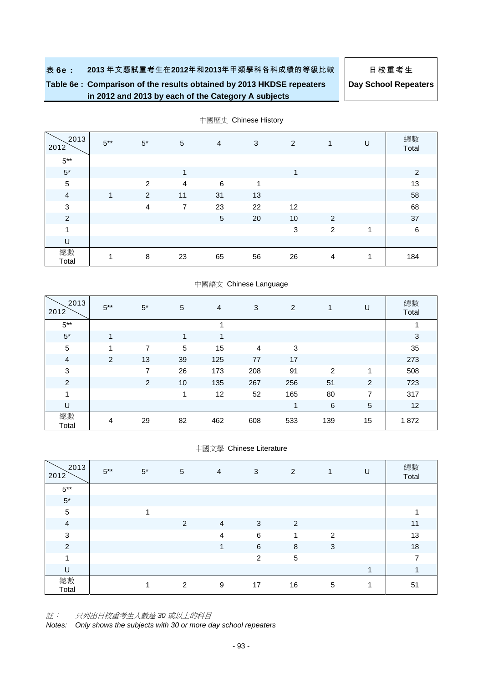# **Table 6e : Comparison of the results obtained by 2013 HKDSE repeaters in 2012 and 2013 by each of the Category A subjects**

**Day School Repeaters**

| 2013<br>2012            | $5***$ | $5^*$          | 5              | $\overline{4}$ | 3  | 2  | 1              | U | 總數<br>Total |
|-------------------------|--------|----------------|----------------|----------------|----|----|----------------|---|-------------|
| $5***$                  |        |                |                |                |    |    |                |   |             |
| $5^\star$               |        |                | $\mathbf{1}$   |                |    | 1  |                |   | 2           |
| 5                       |        | $\mathfrak{p}$ | $\overline{4}$ | 6              | 1  |    |                |   | 13          |
| $\overline{4}$          | 1      | 2              | 11             | 31             | 13 |    |                |   | 58          |
| $\mathbf{3}$            |        | $\overline{4}$ | 7              | 23             | 22 | 12 |                |   | 68          |
| $\overline{2}$          |        |                |                | $\sqrt{5}$     | 20 | 10 | 2              |   | 37          |
| $\overline{\mathbf{A}}$ |        |                |                |                |    | 3  | $\overline{c}$ | 4 | $\,6$       |
| U                       |        |                |                |                |    |    |                |   |             |
| 總數<br>Total             | -1     | 8              | 23             | 65             | 56 | 26 | 4              | 1 | 184         |

中國歷史 Chinese History

### 中國語文 Chinese Language

| 2013<br>2012   | $5***$ | $5^*$ | 5  | $\overline{4}$ | 3              | 2   | 1   | U  | 總數<br>Total |
|----------------|--------|-------|----|----------------|----------------|-----|-----|----|-------------|
| $5***$         |        |       |    |                |                |     |     |    |             |
| $5*$           | 1      |       | 1  | 1              |                |     |     |    | 3           |
| 5              | 4      | 7     | 5  | 15             | $\overline{4}$ | 3   |     |    | 35          |
| $\overline{a}$ | 2      | 13    | 39 | 125            | 77             | 17  |     |    | 273         |
| $\mathbf{3}$   |        | 7     | 26 | 173            | 208            | 91  | 2   | 1  | 508         |
| $\overline{c}$ |        | 2     | 10 | 135            | 267            | 256 | 51  | 2  | 723         |
| 1              |        |       | 1  | 12             | 52             | 165 | 80  | 7  | 317         |
| U              |        |       |    |                |                | 4   | 6   | 5  | 12          |
| 總數<br>Total    | 4      | 29    | 82 | 462            | 608            | 533 | 139 | 15 | 1872        |

#### 中國文學 Chinese Literature

| 2013<br>2012   | $5***$ | $5^*$ | 5 | 4              | 3  | $\overline{2}$ |                | U | 總數<br>Total    |
|----------------|--------|-------|---|----------------|----|----------------|----------------|---|----------------|
| $5***$         |        |       |   |                |    |                |                |   |                |
| $5^{\star}$    |        |       |   |                |    |                |                |   |                |
| $\sqrt{5}$     |        |       |   |                |    |                |                |   |                |
| $\overline{a}$ |        |       | 2 | $\overline{4}$ | 3  | 2              |                |   | 11             |
| $\mathbf{3}$   |        |       |   | $\overline{4}$ | 6  | 1              | $\overline{2}$ |   | 13             |
| 2              |        |       |   | 1              | 6  | 8              | 3              |   | 18             |
| и              |        |       |   |                | 2  | $\sqrt{5}$     |                |   | $\overline{ }$ |
| U              |        |       |   |                |    |                |                |   |                |
| 總數<br>Total    |        |       | 2 | 9              | 17 | 16             | 5              | ◢ | 51             |

註: 只列出日校重考生人數達 *30* 或以上的科目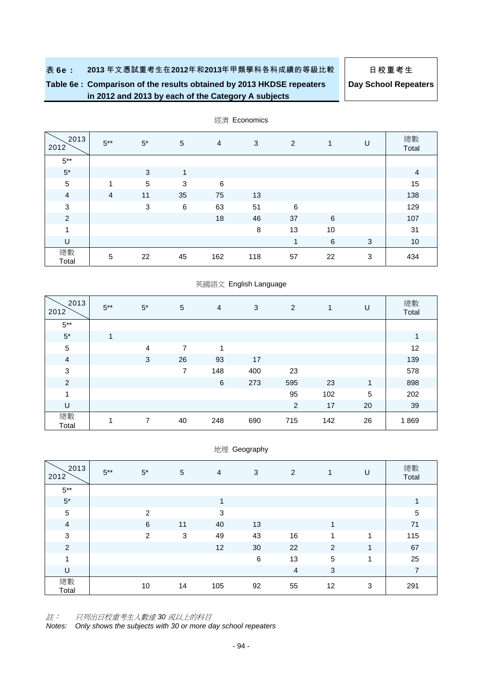# **Table 6e : Comparison of the results obtained by 2013 HKDSE repeaters in 2012 and 2013 by each of the Category A subjects**

**Day School Repeaters**

| 2013<br>2012   | $5***$         | $5^*$      | 5       | $\overline{4}$ | 3   | 2  | 1  | U | 總數<br>Total    |
|----------------|----------------|------------|---------|----------------|-----|----|----|---|----------------|
| $5***$         |                |            |         |                |     |    |    |   |                |
| $5^{\star}$    |                | 3          | 1       |                |     |    |    |   | $\overline{4}$ |
| $\sqrt{5}$     | 1              | $\sqrt{5}$ | 3       | 6              |     |    |    |   | 15             |
| $\overline{a}$ | $\overline{4}$ | 11         | 35      | 75             | 13  |    |    |   | 138            |
| $\mathbf{3}$   |                | 3          | $\,6\,$ | 63             | 51  | 6  |    |   | 129            |
| $\overline{2}$ |                |            |         | 18             | 46  | 37 | 6  |   | 107            |
| 1              |                |            |         |                | 8   | 13 | 10 |   | 31             |
| U              |                |            |         |                |     | 1  | 6  | 3 | 10             |
| 總數<br>Total    | 5              | 22         | 45      | 162            | 118 | 57 | 22 | 3 | 434            |

經濟 Economics

# 英國語文 English Language

| 2013<br>2012   | $5***$ | $5^*$          | $\sqrt{5}$     | $\overline{4}$ | 3   | 2              | $\mathbf{1}$ | U  | 總數<br>Total |
|----------------|--------|----------------|----------------|----------------|-----|----------------|--------------|----|-------------|
| $5***$         |        |                |                |                |     |                |              |    |             |
| $5*$           | 1      |                |                |                |     |                |              |    | 1           |
| $\mathbf 5$    |        | $\overline{4}$ | 7              | 1              |     |                |              |    | 12          |
| $\overline{a}$ |        | 3              | 26             | 93             | 17  |                |              |    | 139         |
| $\sqrt{3}$     |        |                | $\overline{7}$ | 148            | 400 | 23             |              |    | 578         |
| $\overline{c}$ |        |                |                | $\,6\,$        | 273 | 595            | 23           | 1  | 898         |
| 1              |        |                |                |                |     | 95             | 102          | 5  | 202         |
| $\sf U$        |        |                |                |                |     | $\overline{2}$ | 17           | 20 | 39          |
| 總數<br>Total    | 1      | 7              | 40             | 248            | 690 | 715            | 142          | 26 | 1869        |

#### 地理 Geography

| 2013<br>2012   | $5***$ | $5^*$          | $\overline{5}$ | $\overline{4}$ | 3       | 2  | $\mathbf{1}$ | U | 總數<br>Total    |
|----------------|--------|----------------|----------------|----------------|---------|----|--------------|---|----------------|
| $5***$         |        |                |                |                |         |    |              |   |                |
| $5^\star$      |        |                |                | 1              |         |    |              |   | 1              |
| $\sqrt{5}$     |        | $\mathfrak{p}$ |                | 3              |         |    |              |   | $\sqrt{5}$     |
| $\overline{4}$ |        | 6              | 11             | 40             | 13      |    | и            |   | 71             |
| $\mathsf 3$    |        | 2              | 3              | 49             | 43      | 16 | 1            | 1 | 115            |
| $\overline{2}$ |        |                |                | 12             | 30      | 22 | 2            | 1 | 67             |
| $\overline{1}$ |        |                |                |                | $\,6\,$ | 13 | 5            | 1 | 25             |
| U              |        |                |                |                |         | 4  | 3            |   | $\overline{7}$ |
| 總數<br>Total    |        | 10             | 14             | 105            | 92      | 55 | 12           | 3 | 291            |

註: 只列出日校重考生人數達 *30* 或以上的科目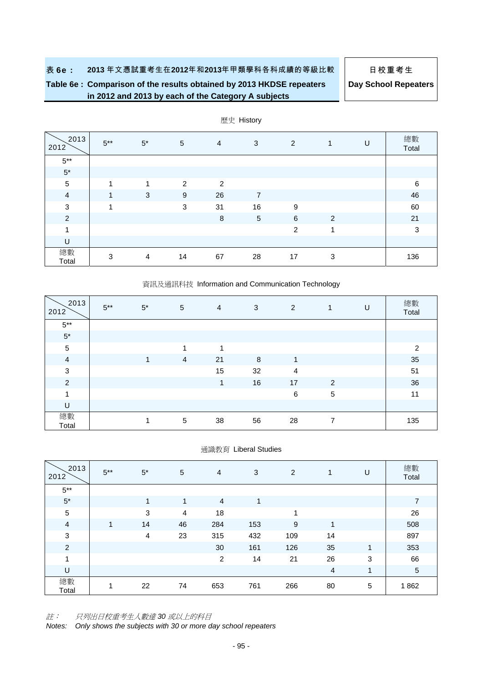# **Table 6e : Comparison of the results obtained by 2013 HKDSE repeaters in 2012 and 2013 by each of the Category A subjects**

**Day School Repeaters**

| 2013<br>2012   | $5***$ | $5^*$          | 5  | 4       | 3              | $\overline{2}$ | 1 | U | 總數<br>Total  |
|----------------|--------|----------------|----|---------|----------------|----------------|---|---|--------------|
| $5^{\ast\ast}$ |        |                |    |         |                |                |   |   |              |
| $5^\star$      |        |                |    |         |                |                |   |   |              |
| $\sqrt{5}$     | 1      | 4              | 2  | 2       |                |                |   |   | 6            |
| $\overline{a}$ | 4      | 3              | 9  | 26      | $\overline{7}$ |                |   |   | 46           |
| $\sqrt{3}$     | 4      |                | 3  | 31      | 16             | 9              |   |   | 60           |
| $\overline{2}$ |        |                |    | $\,8\,$ | $\sqrt{5}$     | 6              | 2 |   | 21           |
| 1              |        |                |    |         |                | 2              | 1 |   | $\mathbf{3}$ |
| U              |        |                |    |         |                |                |   |   |              |
| 總數<br>Total    | 3      | $\overline{4}$ | 14 | 67      | 28             | 17             | 3 |   | 136          |

歷史 History

#### 資訊及通訊科技 Information and Communication Technology

| 2013<br>2012   | $5***$ | $5^*$ | 5              | 4  | 3  | 2  | $\mathbf{1}$   | U | 總數<br>Total    |
|----------------|--------|-------|----------------|----|----|----|----------------|---|----------------|
| $5***$         |        |       |                |    |    |    |                |   |                |
| $5^\star$      |        |       |                |    |    |    |                |   |                |
| $\sqrt{5}$     |        |       | 1              | 1  |    |    |                |   | $\overline{2}$ |
| $\overline{4}$ |        | 1     | $\overline{4}$ | 21 | 8  | 1  |                |   | 35             |
| $\sqrt{3}$     |        |       |                | 15 | 32 | 4  |                |   | 51             |
| $\overline{2}$ |        |       |                | 1  | 16 | 17 | 2              |   | 36             |
| 1              |        |       |                |    |    | 6  | $\sqrt{5}$     |   | 11             |
| U              |        |       |                |    |    |    |                |   |                |
| 總數<br>Total    |        | 1     | 5              | 38 | 56 | 28 | $\overline{7}$ |   | 135            |

通識教育 Liberal Studies

| 2013<br>2012              | $5***$ | $5^*$ | 5  | $\overline{4}$ | 3   | 2   | $\mathbf{1}$ | U | 總數<br>Total    |
|---------------------------|--------|-------|----|----------------|-----|-----|--------------|---|----------------|
| $5***$                    |        |       |    |                |     |     |              |   |                |
| $5^\star$                 |        | 1     | 1  | $\overline{4}$ | 1   |     |              |   | $\overline{7}$ |
| $\,$ 5 $\,$               |        | 3     | 4  | 18             |     | 4   |              |   | 26             |
| $\overline{4}$            | 1      | 14    | 46 | 284            | 153 | 9   | 4            |   | 508            |
| $\ensuremath{\mathsf{3}}$ |        | 4     | 23 | 315            | 432 | 109 | 14           |   | 897            |
| $\overline{2}$            |        |       |    | 30             | 161 | 126 | 35           | 1 | 353            |
| $\overline{A}$            |        |       |    | $\overline{2}$ | 14  | 21  | 26           | 3 | 66             |
| U                         |        |       |    |                |     |     | 4            | 1 | $\sqrt{5}$     |
| 總數<br>Total               | 1      | 22    | 74 | 653            | 761 | 266 | 80           | 5 | 1862           |

註: 只列出日校重考生人數達 *30* 或以上的科目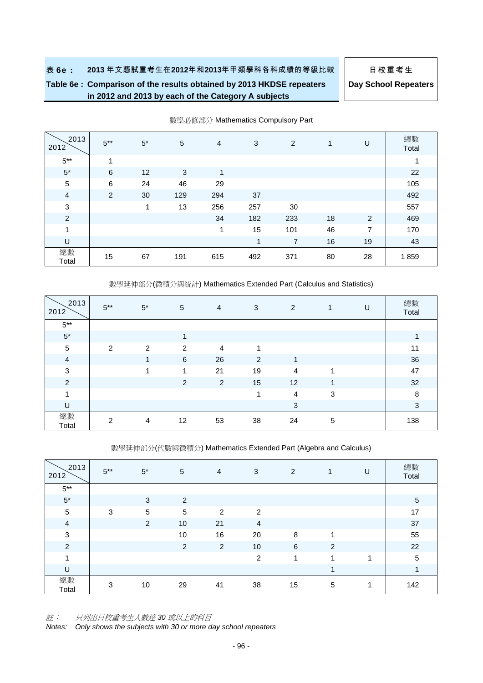# **Table 6e : Comparison of the results obtained by 2013 HKDSE repeaters in 2012 and 2013 by each of the Category A subjects**

**Day School Repeaters**

| 2013<br>2012   | $5***$ | $5^*$           | $\sqrt{5}$ | $\overline{4}$ | 3   | 2   | 1  | U              | 總數<br>Total |
|----------------|--------|-----------------|------------|----------------|-----|-----|----|----------------|-------------|
| $5***$         | 4      |                 |            |                |     |     |    |                | 1           |
| $5^*$          | 6      | 12 <sup>2</sup> | 3          | 1              |     |     |    |                | 22          |
| 5              | 6      | 24              | 46         | 29             |     |     |    |                | 105         |
| $\overline{4}$ | 2      | 30              | 129        | 294            | 37  |     |    |                | 492         |
| 3              |        | 1               | 13         | 256            | 257 | 30  |    |                | 557         |
| $\overline{c}$ |        |                 |            | 34             | 182 | 233 | 18 | $\overline{2}$ | 469         |
| 1              |        |                 |            | 1              | 15  | 101 | 46 | 7              | 170         |
| U              |        |                 |            |                | 1   | 7   | 16 | 19             | 43          |
| 總數<br>Total    | 15     | 67              | 191        | 615            | 492 | 371 | 80 | 28             | 1859        |

數學必修部分 Mathematics Compulsory Part

數學延伸部分(微積分與統計) Mathematics Extended Part (Calculus and Statistics)

| 2013<br>2012   | $5***$ | $5^*$          | 5              | 4              | 3              | $\overline{2}$ | 1          | U | 總數<br>Total |
|----------------|--------|----------------|----------------|----------------|----------------|----------------|------------|---|-------------|
| $5***$         |        |                |                |                |                |                |            |   |             |
| $5^{\star}$    |        |                | 1              |                |                |                |            |   | 1           |
| $\sqrt{5}$     | 2      | 2              | 2              | $\overline{4}$ | и              |                |            |   | 11          |
| $\overline{a}$ |        | 1              | 6              | 26             | $\overline{2}$ | 1              |            |   | 36          |
| $\mathbf{3}$   |        |                | 1              | 21             | 19             | $\overline{4}$ | 1          |   | 47          |
| $\overline{2}$ |        |                | $\overline{c}$ | $\overline{2}$ | 15             | 12             | -1         |   | 32          |
| $\overline{ }$ |        |                |                |                | 1              | $\overline{4}$ | 3          |   | 8           |
| U              |        |                |                |                |                | $\mathbf{3}$   |            |   | 3           |
| 總數<br>Total    | 2      | $\overline{4}$ | 12             | 53             | 38             | 24             | $\sqrt{5}$ |   | 138         |

數學延伸部分(代數與微積分) Mathematics Extended Part (Algebra and Calculus)

| 2013<br>2012   | $5***$ | $5^*$      | 5              | $\overline{4}$ | 3              | 2  | 1 | U | 總數<br>Total    |
|----------------|--------|------------|----------------|----------------|----------------|----|---|---|----------------|
| $5***$         |        |            |                |                |                |    |   |   |                |
| $5^\star$      |        | 3          | 2              |                |                |    |   |   | $\overline{5}$ |
| $\sqrt{5}$     | 3      | $\sqrt{5}$ | 5              | 2              | 2              |    |   |   | 17             |
| $\overline{a}$ |        | 2          | 10             | 21             | $\overline{4}$ |    |   |   | 37             |
| $\sqrt{3}$     |        |            | 10             | 16             | 20             | 8  | 1 |   | 55             |
| $\overline{c}$ |        |            | $\overline{2}$ | 2              | 10             | 6  | 2 |   | 22             |
| $\overline{ }$ |        |            |                |                | 2              | 1  | 4 | и | $\sqrt{5}$     |
| U              |        |            |                |                |                |    | ۸ |   | 1              |
| 總數<br>Total    | 3      | 10         | 29             | 41             | 38             | 15 | 5 | 1 | 142            |

註: 只列出日校重考生人數達 *30* 或以上的科目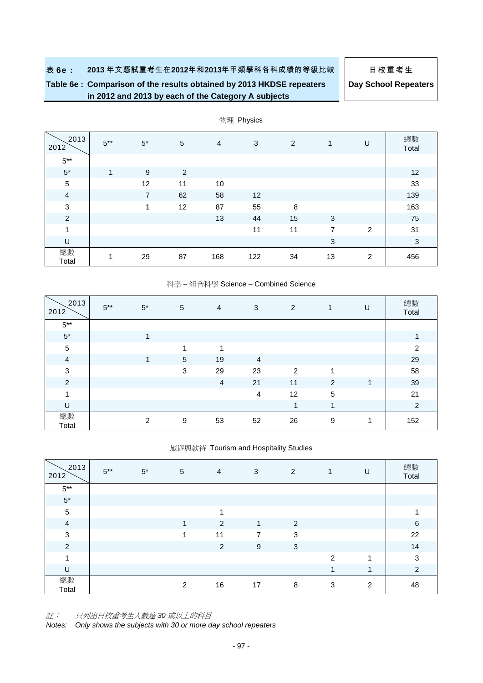# **Table 6e : Comparison of the results obtained by 2013 HKDSE repeaters in 2012 and 2013 by each of the Category A subjects**

**Day School Repeaters**

| 2013<br>2012   | $5***$ | $5^*$          | $\overline{5}$ | $\overline{4}$ | 3   | $\overline{2}$ | 1              | U              | 總數<br>Total  |
|----------------|--------|----------------|----------------|----------------|-----|----------------|----------------|----------------|--------------|
| $5***$         |        |                |                |                |     |                |                |                |              |
| $5^{\ast}$     | 1      | 9              | $\overline{2}$ |                |     |                |                |                | 12           |
| $\sqrt{5}$     |        | 12             | 11             | $10$           |     |                |                |                | 33           |
| $\overline{a}$ |        | $\overline{7}$ | 62             | 58             | 12  |                |                |                | 139          |
| $\mathbf{3}$   |        | 1              | 12             | 87             | 55  | 8              |                |                | 163          |
| $\overline{2}$ |        |                |                | 13             | 44  | 15             | 3              |                | 75           |
| 1              |        |                |                |                | 11  | 11             | $\overline{7}$ | $\overline{2}$ | 31           |
| U              |        |                |                |                |     |                | $\sqrt{3}$     |                | $\mathbf{3}$ |
| 總數<br>Total    | 1      | 29             | 87             | 168            | 122 | 34             | 13             | 2              | 456          |

### 物理 Physics

#### 科學 – 組合科學 Science – Combined Science

| 2013<br>2012   | $5***$ | $5^*$ | 5              | 4  | 3  | 2  | $\mathbf{1}$ | U | 總數<br>Total    |
|----------------|--------|-------|----------------|----|----|----|--------------|---|----------------|
| $5***$         |        |       |                |    |    |    |              |   |                |
| $5^{\ast}$     |        |       |                |    |    |    |              |   | 1              |
| $\sqrt{5}$     |        |       | и              | и  |    |    |              |   | 2              |
| $\overline{4}$ |        | 4     | $\overline{5}$ | 19 | 4  |    |              |   | 29             |
| $\sqrt{3}$     |        |       | 3              | 29 | 23 | 2  | 1            |   | 58             |
| $\overline{c}$ |        |       |                | 4  | 21 | 11 | 2            | 1 | 39             |
| 1              |        |       |                |    | 4  | 12 | $\sqrt{5}$   |   | 21             |
| U              |        |       |                |    |    | 1  | 1            |   | $\overline{2}$ |
| 總數<br>Total    |        | 2     | 9              | 53 | 52 | 26 | 9            | 1 | 152            |

#### 旅遊與款待 Tourism and Hospitality Studies

| 2013<br>2012   | $5***$ | $5^*$ | 5 | 4              | $\ensuremath{\mathsf{3}}$ | 2              | $\mathbf{1}$ | U | 總數<br>Total |
|----------------|--------|-------|---|----------------|---------------------------|----------------|--------------|---|-------------|
| $5***$         |        |       |   |                |                           |                |              |   |             |
| $5^\star$      |        |       |   |                |                           |                |              |   |             |
| $\sqrt{5}$     |        |       |   | 1              |                           |                |              |   |             |
| $\overline{a}$ |        |       | 1 | 2              | $\mathbf 1$               | $\overline{2}$ |              |   | 6           |
| $\sqrt{3}$     |        |       | 1 | 11             | 7                         | 3              |              |   | 22          |
| $\overline{2}$ |        |       |   | $\overline{2}$ | 9                         | $\sqrt{3}$     |              |   | 14          |
| $\overline{A}$ |        |       |   |                |                           |                | 2            | и | 3           |
| U              |        |       |   |                |                           |                | 4            | и | 2           |
| 總數<br>Total    |        |       | 2 | 16             | 17                        | 8              | 3            | 2 | 48          |

註: 只列出日校重考生人數達 *30* 或以上的科目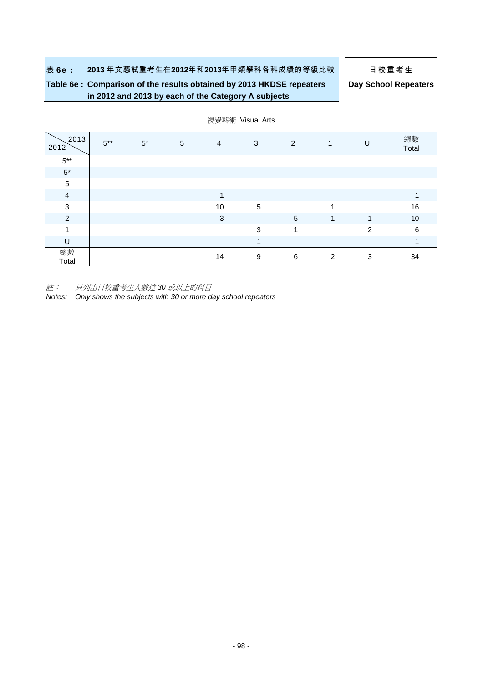# **Table 6e : Comparison of the results obtained by 2013 HKDSE repeaters in 2012 and 2013 by each of the Category A subjects**

**Day School Repeaters**

| 2013<br>2012   | $5***$ | $5^*$ | 5 | $\overline{4}$ | 3 | $\overline{2}$ | 1 | U | 總數<br>Total |
|----------------|--------|-------|---|----------------|---|----------------|---|---|-------------|
| $5***$         |        |       |   |                |   |                |   |   |             |
| $5^{\star}$    |        |       |   |                |   |                |   |   |             |
| $\sqrt{5}$     |        |       |   |                |   |                |   |   |             |
| $\overline{a}$ |        |       |   | $\mathbf{1}$   |   |                |   |   | 1           |
| 3              |        |       |   | 10             | 5 |                | 1 |   | 16          |
| $\overline{c}$ |        |       |   | 3              |   | $\sqrt{5}$     | 1 | 1 | 10          |
| 4              |        |       |   |                | 3 | 1              |   | 2 | 6           |
| U              |        |       |   |                | 1 |                |   |   |             |
| 總數<br>Total    |        |       |   | 14             | 9 | 6              | 2 | 3 | 34          |

#### 視覺藝術 Visual Arts

註: 只列出日校重考生人數達 *30* 或以上的科目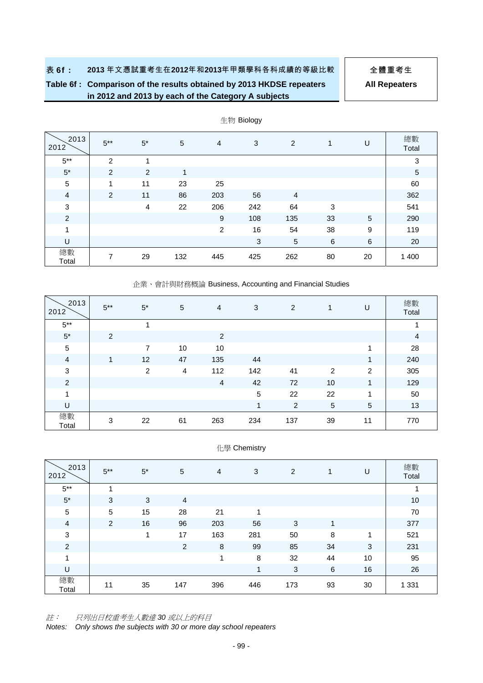# **Table 6f : Comparison of the results obtained by 2013 HKDSE repeaters in 2012 and 2013 by each of the Category A subjects**

**All Repeaters**

| 2013<br>2012   | $5***$ | $5^*$                   | 5   | $\overline{4}$ | 3   | 2              |    | U  | 總數<br>Total |
|----------------|--------|-------------------------|-----|----------------|-----|----------------|----|----|-------------|
| $5***$         | 2      | $\overline{\mathbf{A}}$ |     |                |     |                |    |    | 3           |
| $5^*$          | 2      | 2                       | 1   |                |     |                |    |    | 5           |
| $\sqrt{5}$     | 1      | 11                      | 23  | 25             |     |                |    |    | 60          |
| $\overline{4}$ | 2      | 11                      | 86  | 203            | 56  | $\overline{4}$ |    |    | 362         |
| $\sqrt{3}$     |        | 4                       | 22  | 206            | 242 | 64             | 3  |    | 541         |
| 2              |        |                         |     | 9              | 108 | 135            | 33 | 5  | 290         |
| 1              |        |                         |     | 2              | 16  | 54             | 38 | 9  | 119         |
| U              |        |                         |     |                | 3   | $\sqrt{5}$     | 6  | 6  | 20          |
| 總數<br>Total    | 7      | 29                      | 132 | 445            | 425 | 262            | 80 | 20 | 1 400       |

### 生物 Biology

企業、會計與財務概論 Business, Accounting and Financial Studies

| 2013<br>2012   | $5***$ | $5^*$          | 5  | $\overline{4}$ | 3          | 2   | 1          | U              | 總數<br>Total    |
|----------------|--------|----------------|----|----------------|------------|-----|------------|----------------|----------------|
| $5***$         |        | 4              |    |                |            |     |            |                | 4              |
| $5^\star$      | 2      |                |    | 2              |            |     |            |                | $\overline{4}$ |
| $\sqrt{5}$     |        | 7              | 10 | 10             |            |     |            | 4              | 28             |
| $\overline{4}$ | 1      | 12             | 47 | 135            | 44         |     |            | 1              | 240            |
| 3              |        | $\overline{2}$ | 4  | 112            | 142        | 41  | 2          | 2              | 305            |
| $\overline{c}$ |        |                |    | 4              | 42         | 72  | 10         | 1              | 129            |
| 1              |        |                |    |                | $\sqrt{5}$ | 22  | 22         | 1              | 50             |
| U              |        |                |    |                | 1          | 2   | $\sqrt{5}$ | $\overline{5}$ | 13             |
| 總數<br>Total    | 3      | 22             | 61 | 263            | 234        | 137 | 39         | 11             | 770            |

|  | 化學 Chemistry |
|--|--------------|
|--|--------------|

| 2013<br>2012   | $5***$         | $5*$ | 5              | 4   | 3   | 2   | 1  | U  | 總數<br>Total |
|----------------|----------------|------|----------------|-----|-----|-----|----|----|-------------|
| $5***$         | $\overline{A}$ |      |                |     |     |     |    |    | 1           |
| $5^{\star}$    | 3              | 3    | $\overline{4}$ |     |     |     |    |    | 10          |
| $\sqrt{5}$     | 5              | 15   | 28             | 21  | и   |     |    |    | 70          |
| 4              | $\overline{2}$ | 16   | 96             | 203 | 56  | 3   | 4  |    | 377         |
| $\mathbf{3}$   |                | 1    | 17             | 163 | 281 | 50  | 8  | 1  | 521         |
| $\overline{c}$ |                |      | $\overline{2}$ | 8   | 99  | 85  | 34 | 3  | 231         |
| 1              |                |      |                | 1   | 8   | 32  | 44 | 10 | 95          |
| U              |                |      |                |     | 1   | 3   | 6  | 16 | 26          |
| 總數<br>Total    | 11             | 35   | 147            | 396 | 446 | 173 | 93 | 30 | 1 3 3 1     |

註: 只列出日校重考生人數達 *30* 或以上的科目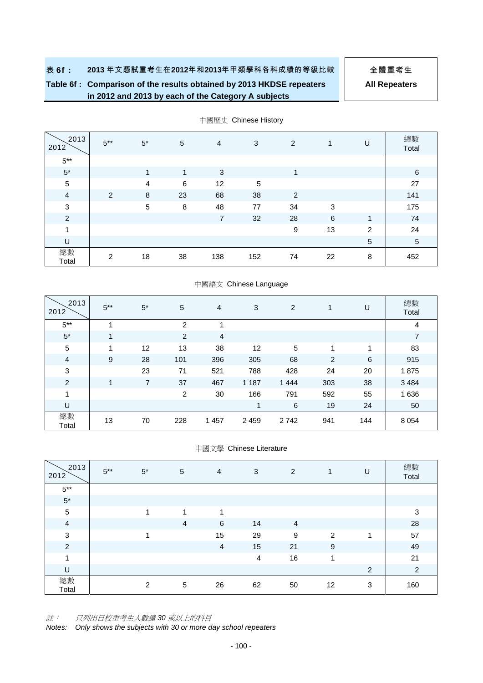# **Table 6f : Comparison of the results obtained by 2013 HKDSE repeaters in 2012 and 2013 by each of the Category A subjects**

**All Repeaters**

| 2013<br>2012   | $5***$ | $5^*$          | 5  | $\overline{4}$ | 3          | 2              | $\mathbf{1}$ | U | 總數<br>Total    |
|----------------|--------|----------------|----|----------------|------------|----------------|--------------|---|----------------|
| $5^{\ast\ast}$ |        |                |    |                |            |                |              |   |                |
| $5^\star$      |        | 1              | 1  | 3              |            | 4              |              |   | 6              |
| $\mathbf 5$    |        | $\overline{4}$ | 6  | 12             | $\sqrt{5}$ |                |              |   | 27             |
| $\overline{4}$ | 2      | 8              | 23 | 68             | 38         | $\overline{c}$ |              |   | 141            |
| 3              |        | 5              | 8  | 48             | 77         | 34             | 3            |   | 175            |
| $\overline{2}$ |        |                |    | $\overline{7}$ | 32         | 28             | 6            | 1 | 74             |
| 4              |        |                |    |                |            | 9              | 13           | 2 | 24             |
| U              |        |                |    |                |            |                |              | 5 | $\overline{5}$ |
| 總數<br>Total    | 2      | 18             | 38 | 138            | 152        | 74             | 22           | 8 | 452            |

中國歷史 Chinese History

#### 中國語文 Chinese Language

| 2013<br>2012   | $5***$ | $5^*$ | 5              | $\overline{4}$ | 3       | 2          | 1   | U   | 總數<br>Total |
|----------------|--------|-------|----------------|----------------|---------|------------|-----|-----|-------------|
| $5***$         |        |       | $\overline{2}$ |                |         |            |     |     | 4           |
| $5*$           |        |       | $\overline{2}$ | 4              |         |            |     |     | 7           |
| $\sqrt{5}$     |        | 12    | 13             | 38             | 12      | $\sqrt{5}$ | 4   | 1   | 83          |
| 4              | 9      | 28    | 101            | 396            | 305     | 68         | 2   | 6   | 915         |
| 3              |        | 23    | 71             | 521            | 788     | 428        | 24  | 20  | 1875        |
| $\overline{c}$ | 1      | 7     | 37             | 467            | 1 1 8 7 | 1 4 4 4    | 303 | 38  | 3 4 8 4     |
| 1              |        |       | 2              | 30             | 166     | 791        | 592 | 55  | 1636        |
| U              |        |       |                |                | 1       | 6          | 19  | 24  | 50          |
| 總數<br>Total    | 13     | 70    | 228            | 1 4 5 7        | 2 4 5 9 | 2742       | 941 | 144 | 8 0 5 4     |

#### 中國文學 Chinese Literature

| 2013<br>2012   | $5***$ | $5^*$                   | 5               | 4              | 3              | 2              | 1  | U              | 總數<br>Total |
|----------------|--------|-------------------------|-----------------|----------------|----------------|----------------|----|----------------|-------------|
| $5***$         |        |                         |                 |                |                |                |    |                |             |
| $5^{\star}$    |        |                         |                 |                |                |                |    |                |             |
| $\sqrt{5}$     |        |                         | и               | -4             |                |                |    |                | 3           |
| $\overline{4}$ |        |                         | $\overline{4}$  | 6              | 14             | $\overline{4}$ |    |                | 28          |
| $\mathsf 3$    |        | $\overline{\mathbf{A}}$ |                 | 15             | 29             | 9              | 2  | 1              | 57          |
| $\overline{2}$ |        |                         |                 | $\overline{4}$ | 15             | 21             | 9  |                | 49          |
| 1              |        |                         |                 |                | $\overline{4}$ | 16             | 1  |                | 21          |
| U              |        |                         |                 |                |                |                |    | $\overline{2}$ | 2           |
| 總數<br>Total    |        | 2                       | $5\phantom{.0}$ | 26             | 62             | 50             | 12 | 3              | 160         |

註: 只列出日校重考生人數達 *30* 或以上的科目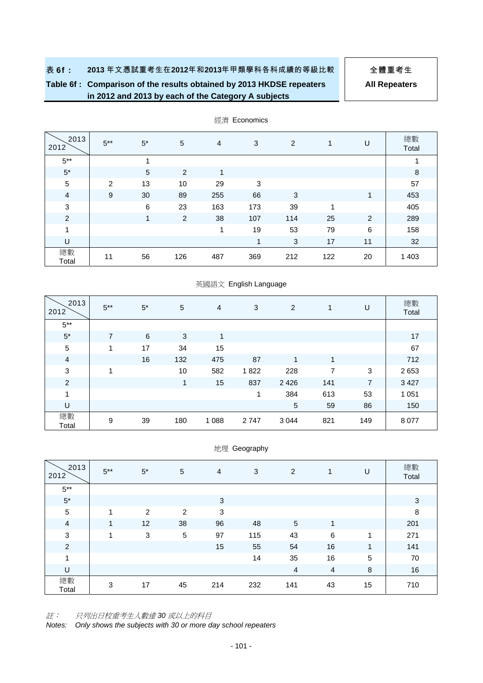# **Table 6f : Comparison of the results obtained by 2013 HKDSE repeaters in 2012 and 2013 by each of the Category A subjects**

**All Repeaters**

| 2013<br>2012   | $5***$ | $5^*$           | $\overline{5}$ | 4   | 3              | 2   | 1   | U  | 總數<br>Total |
|----------------|--------|-----------------|----------------|-----|----------------|-----|-----|----|-------------|
| $5***$         |        | 1               |                |     |                |     |     |    | 1           |
| $5^\star$      |        | $5\overline{)}$ | 2              | 1   |                |     |     |    | 8           |
| $\overline{5}$ | 2      | 13              | 10             | 29  | 3              |     |     |    | 57          |
| $\overline{4}$ | 9      | 30              | 89             | 255 | 66             | 3   |     | 1  | 453         |
| $\mathbf{3}$   |        | 6               | 23             | 163 | 173            | 39  | 1   |    | 405         |
| $\overline{2}$ |        | 1               | 2              | 38  | 107            | 114 | 25  | 2  | 289         |
| 1              |        |                 |                | 1   | 19             | 53  | 79  | 6  | 158         |
| U              |        |                 |                |     | $\overline{1}$ | 3   | 17  | 11 | 32          |
| 總數<br>Total    | 11     | 56              | 126            | 487 | 369            | 212 | 122 | 20 | 1 4 0 3     |

經濟 Economics

#### 英國語文 English Language

| 2013<br>2012   | $5***$         | $5^*$ | 5   | 4       | 3    | 2           | $\mathbf{1}$ | U              | 總數<br>Total |
|----------------|----------------|-------|-----|---------|------|-------------|--------------|----------------|-------------|
| $5***$         |                |       |     |         |      |             |              |                |             |
| $5*$           | $\overline{7}$ | 6     | 3   | 1       |      |             |              |                | 17          |
| $\sqrt{5}$     | 1              | 17    | 34  | 15      |      |             |              |                | 67          |
| $\overline{4}$ |                | 16    | 132 | 475     | 87   | 1           | 1            |                | 712         |
| $\sqrt{3}$     | 1              |       | 10  | 582     | 1822 | 228         | 7            | 3              | 2653        |
| $\overline{c}$ |                |       | 1   | 15      | 837  | 2 4 2 6     | 141          | $\overline{7}$ | 3 4 2 7     |
| 1              |                |       |     |         | 1    | 384         | 613          | 53             | 1 0 5 1     |
| $\sf U$        |                |       |     |         |      | $\mathbf 5$ | 59           | 86             | 150         |
| 總數<br>Total    | 9              | 39    | 180 | 1 0 8 8 | 2747 | 3 0 4 4     | 821          | 149            | 8 0 7 7     |

#### 地理 Geography

| 2013<br>2012   | $5***$         | $5^*$ | 5          | $\overline{4}$ | 3   | 2              | 1  | U       | 總數<br>Total |
|----------------|----------------|-------|------------|----------------|-----|----------------|----|---------|-------------|
| $5^{\ast\ast}$ |                |       |            |                |     |                |    |         |             |
| $5^{\star}$    |                |       |            | 3              |     |                |    |         | 3           |
| $\sqrt{5}$     | $\overline{ }$ | 2     | 2          | $\mathbf{3}$   |     |                |    |         | 8           |
| $\overline{4}$ | 1              | 12    | 38         | 96             | 48  | $\overline{5}$ |    |         | 201         |
| $\mathbf{3}$   | 1              | 3     | $\sqrt{5}$ | 97             | 115 | 43             | 6  | 1       | 271         |
| $\overline{2}$ |                |       |            | 15             | 55  | 54             | 16 | 1       | 141         |
| 1              |                |       |            |                | 14  | 35             | 16 | 5       | 70          |
| U              |                |       |            |                |     | 4              | 4  | $\,8\,$ | 16          |
| 總數<br>Total    | 3              | 17    | 45         | 214            | 232 | 141            | 43 | 15      | 710         |

註: 只列出日校重考生人數達 *30* 或以上的科目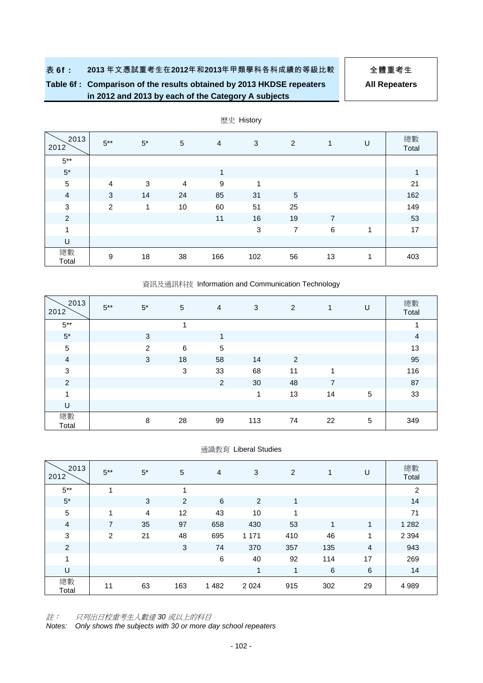# **Table 6f : Comparison of the results obtained by 2013 HKDSE repeaters in 2012 and 2013 by each of the Category A subjects**

**All Repeaters**

| 2013<br>2012   | $5***$         | $5^*$ | $\sqrt{5}$     | 4   | 3          | $\overline{2}$ | 1  | U | 總數<br>Total  |
|----------------|----------------|-------|----------------|-----|------------|----------------|----|---|--------------|
| $5^{\ast\ast}$ |                |       |                |     |            |                |    |   |              |
| $5^\star$      |                |       |                | 1   |            |                |    |   | $\mathbf{1}$ |
| $\sqrt{5}$     | $\overline{4}$ | 3     | $\overline{4}$ | 9   | 1          |                |    |   | 21           |
| $\overline{a}$ | 3              | 14    | 24             | 85  | 31         | 5              |    |   | 162          |
| $\mathbf{3}$   | 2              | 1     | 10             | 60  | 51         | 25             |    |   | 149          |
| $\overline{2}$ |                |       |                | 11  | 16         | 19             | 7  |   | 53           |
| 1              |                |       |                |     | $\sqrt{3}$ | 7              | 6  | 1 | 17           |
| U              |                |       |                |     |            |                |    |   |              |
| 總數<br>Total    | 9              | 18    | 38             | 166 | 102        | 56             | 13 | 1 | 403          |

歷史 History

#### 資訊及通訊科技 Information and Communication Technology

| 2013<br>2012   | $5***$ | $5^*$ | 5       | 4              | 3   | 2  | $\mathbf{1}$   | U          | 總數<br>Total    |
|----------------|--------|-------|---------|----------------|-----|----|----------------|------------|----------------|
| $5***$         |        |       |         |                |     |    |                |            | 1              |
| $5^\star$      |        | 3     |         | 1              |     |    |                |            | $\overline{4}$ |
| $\sqrt{5}$     |        | 2     | $\,6\,$ | $\sqrt{5}$     |     |    |                |            | 13             |
| $\overline{a}$ |        | 3     | 18      | 58             | 14  | 2  |                |            | 95             |
| $\mathbf{3}$   |        |       | 3       | 33             | 68  | 11 | 1              |            | 116            |
| $\overline{2}$ |        |       |         | $\overline{2}$ | 30  | 48 | $\overline{7}$ |            | 87             |
| 1              |        |       |         |                | 1   | 13 | 14             | $\sqrt{5}$ | 33             |
| U              |        |       |         |                |     |    |                |            |                |
| 總數<br>Total    |        | 8     | 28      | 99             | 113 | 74 | 22             | 5          | 349            |

通識教育 Liberal Studies

| 2013<br>2012   | $5***$ | $5^*$          | 5   | $\overline{4}$ | 3       | 2   | 1   | U  | 總數<br>Total |
|----------------|--------|----------------|-----|----------------|---------|-----|-----|----|-------------|
| $5***$         | 1      |                | и   |                |         |     |     |    | 2           |
| $5^{\ast}$     |        | 3              | 2   | 6              | 2       | 1   |     |    | 14          |
| 5              | 1      | $\overline{4}$ | 12  | 43             | 10      | 1   |     |    | 71          |
| 4              | 7      | 35             | 97  | 658            | 430     | 53  | 1   | 1  | 1 2 8 2     |
| $\sqrt{3}$     | 2      | 21             | 48  | 695            | 1 1 7 1 | 410 | 46  | 1  | 2 3 9 4     |
| $\overline{c}$ |        |                | 3   | 74             | 370     | 357 | 135 | 4  | 943         |
| 1              |        |                |     | 6              | 40      | 92  | 114 | 17 | 269         |
| U              |        |                |     |                | 1       | 1   | 6   | 6  | 14          |
| 總數<br>Total    | 11     | 63             | 163 | 1482           | 2 0 2 4 | 915 | 302 | 29 | 4 9 8 9     |

註: 只列出日校重考生人數達 *30* 或以上的科目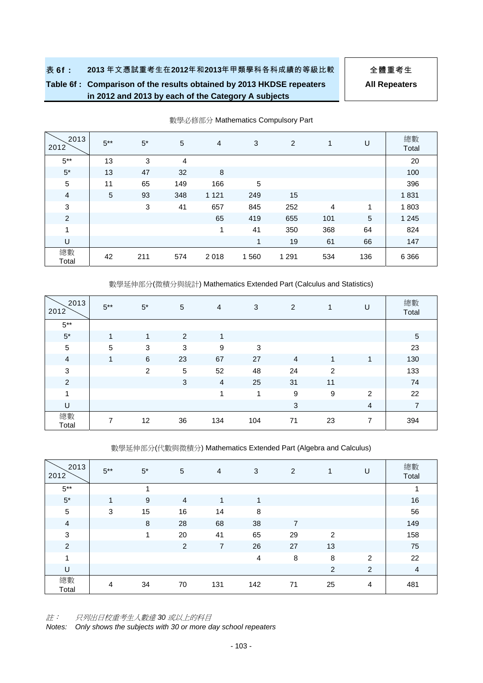# **Table 6f : Comparison of the results obtained by 2013 HKDSE repeaters in 2012 and 2013 by each of the Category A subjects**

**All Repeaters**

| 2013<br>2012   | $5***$ | $5^*$ | 5   | $\overline{4}$ | 3          | 2       | 1              | U          | 總數<br>Total |
|----------------|--------|-------|-----|----------------|------------|---------|----------------|------------|-------------|
| $5***$         | 13     | 3     | 4   |                |            |         |                |            | 20          |
| $5^*$          | 13     | 47    | 32  | 8              |            |         |                |            | 100         |
| 5              | 11     | 65    | 149 | 166            | $\sqrt{5}$ |         |                |            | 396         |
| $\overline{4}$ | 5      | 93    | 348 | 1 1 2 1        | 249        | 15      |                |            | 1831        |
| 3              |        | 3     | 41  | 657            | 845        | 252     | $\overline{4}$ | 1          | 1803        |
| $\overline{c}$ |        |       |     | 65             | 419        | 655     | 101            | $\sqrt{5}$ | 1 2 4 5     |
| 1              |        |       |     |                | 41         | 350     | 368            | 64         | 824         |
| U              |        |       |     |                | 1          | 19      | 61             | 66         | 147         |
| 總數<br>Total    | 42     | 211   | 574 | 2018           | 1560       | 1 2 9 1 | 534            | 136        | 6 3 6 6     |

數學必修部分 Mathematics Compulsory Part

數學延伸部分(微積分與統計) Mathematics Extended Part (Calculus and Statistics)

| 2013<br>2012   | $5***$          | $5^*$          | 5  | 4              | 3   | 2              |                | U              | 總數<br>Total    |
|----------------|-----------------|----------------|----|----------------|-----|----------------|----------------|----------------|----------------|
| $5***$         |                 |                |    |                |     |                |                |                |                |
| $5^\star$      | 1               | 1              | 2  | 4              |     |                |                |                | $\sqrt{5}$     |
| $\sqrt{5}$     | $5\phantom{.0}$ | 3              | 3  | 9              | 3   |                |                |                | 23             |
| $\overline{a}$ | 1               | 6              | 23 | 67             | 27  | $\overline{4}$ | 1              | 1              | 130            |
| $\mathsf 3$    |                 | $\overline{2}$ | 5  | 52             | 48  | 24             | $\overline{2}$ |                | 133            |
| $\overline{2}$ |                 |                | 3  | $\overline{4}$ | 25  | 31             | 11             |                | 74             |
| $\overline{ }$ |                 |                |    | -4             | и   | 9              | 9              | $\overline{2}$ | 22             |
| U              |                 |                |    |                |     | 3              |                | 4              | $\overline{7}$ |
| 總數<br>Total    | 7               | 12             | 36 | 134            | 104 | 71             | 23             | 7              | 394            |

數學延伸部分(代數與微積分) Mathematics Extended Part (Algebra and Calculus)

| 2013<br>2012   | $5***$ | $5*$ | 5              | $\overline{4}$ | 3   | 2              | 1              | U | 總數<br>Total |
|----------------|--------|------|----------------|----------------|-----|----------------|----------------|---|-------------|
| $5***$         |        | и    |                |                |     |                |                |   | и           |
| $5^\star$      | 1      | 9    | 4              | 1              | и   |                |                |   | 16          |
| $\sqrt{5}$     | 3      | 15   | 16             | 14             | 8   |                |                |   | 56          |
| $\overline{4}$ |        | 8    | 28             | 68             | 38  | $\overline{7}$ |                |   | 149         |
| $\mathbf{3}$   |        | 1    | 20             | 41             | 65  | 29             | $\overline{2}$ |   | 158         |
| $\overline{c}$ |        |      | $\overline{2}$ | 7              | 26  | 27             | 13             |   | 75          |
| $\overline{A}$ |        |      |                |                | 4   | 8              | 8              | 2 | 22          |
| U              |        |      |                |                |     |                | 2              | 2 | 4           |
| 總數<br>Total    | 4      | 34   | 70             | 131            | 142 | 71             | 25             | 4 | 481         |

註: 只列出日校重考生人數達 *30* 或以上的科目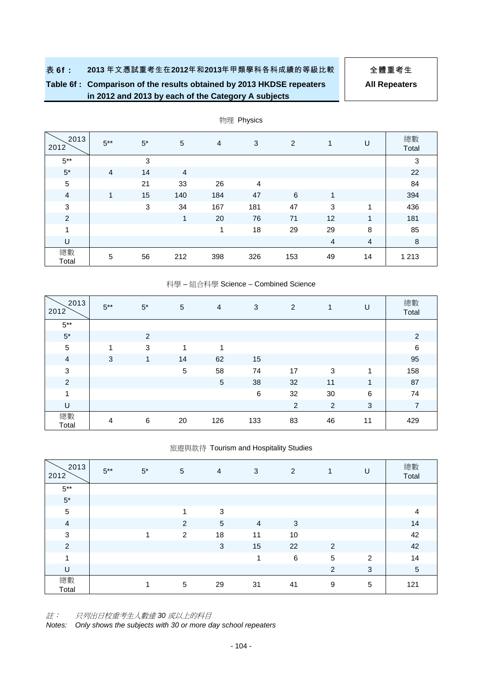# **Table 6f : Comparison of the results obtained by 2013 HKDSE repeaters in 2012 and 2013 by each of the Category A subjects**

**All Repeaters**

| 2013<br>2012   | $5***$         | $5*$ | 5              | $\overline{4}$ | 3              | $\overline{2}$ | 1              | U              | 總數      |
|----------------|----------------|------|----------------|----------------|----------------|----------------|----------------|----------------|---------|
|                |                |      |                |                |                |                |                |                | Total   |
| $5***$         |                | 3    |                |                |                |                |                |                | 3       |
| $5^\star$      | $\overline{4}$ | 14   | $\overline{4}$ |                |                |                |                |                | 22      |
| 5              |                | 21   | 33             | 26             | $\overline{4}$ |                |                |                | 84      |
| $\overline{4}$ | 1              | 15   | 140            | 184            | 47             | 6              | 1              |                | 394     |
| $\mathsf 3$    |                | 3    | 34             | 167            | 181            | 47             | 3              | 1              | 436     |
| $\overline{2}$ |                |      | 1              | 20             | 76             | 71             | 12             | 1              | 181     |
| 1              |                |      |                | 1              | 18             | 29             | 29             | 8              | 85      |
| U              |                |      |                |                |                |                | $\overline{4}$ | $\overline{4}$ | 8       |
| 總數<br>Total    | 5              | 56   | 212            | 398            | 326            | 153            | 49             | 14             | 1 2 1 3 |

物理 Physics

#### 科學 – 組合科學 Science – Combined Science

| 2013<br>2012   | $5***$ | $5^*$ | 5  | $\overline{4}$ | 3       | 2              | 1              | U  | 總數<br>Total    |
|----------------|--------|-------|----|----------------|---------|----------------|----------------|----|----------------|
| $5***$         |        |       |    |                |         |                |                |    |                |
| $5^{\ast}$     |        | 2     |    |                |         |                |                |    | $\overline{2}$ |
| $\sqrt{5}$     | 1      | 3     | 1  | 1              |         |                |                |    | $\,6$          |
| $\overline{4}$ | 3      | 1     | 14 | 62             | 15      |                |                |    | 95             |
| $\mathbf{3}$   |        |       | 5  | 58             | 74      | 17             | 3              | 1  | 158            |
| $\overline{c}$ |        |       |    | $\sqrt{5}$     | 38      | 32             | 11             | 1  | 87             |
| 1              |        |       |    |                | $\,6\,$ | 32             | 30             | 6  | 74             |
| U              |        |       |    |                |         | $\overline{2}$ | $\overline{c}$ | 3  | $\overline{7}$ |
| 總數<br>Total    | 4      | 6     | 20 | 126            | 133     | 83             | 46             | 11 | 429            |

#### 旅遊與款待 Tourism and Hospitality Studies

| 2013<br>2012   | $5***$ | $5^*$ | 5 | 4  | 3              | $\overline{2}$ | $\mathbf{1}$ | U | 總數<br>Total    |
|----------------|--------|-------|---|----|----------------|----------------|--------------|---|----------------|
| $5***$         |        |       |   |    |                |                |              |   |                |
| $5^\star$      |        |       |   |    |                |                |              |   |                |
| $\sqrt{5}$     |        |       | 1 | 3  |                |                |              |   | $\overline{4}$ |
| $\overline{a}$ |        |       | 2 | 5  | $\overline{4}$ | 3              |              |   | 14             |
| $\sqrt{3}$     |        | и     | 2 | 18 | 11             | 10             |              |   | 42             |
| $\overline{2}$ |        |       |   | 3  | 15             | 22             | 2            |   | 42             |
| 1              |        |       |   |    | 1              | 6              | $\sqrt{5}$   | 2 | 14             |
| U              |        |       |   |    |                |                | 2            | 3 | $\overline{5}$ |
| 總數<br>Total    |        | 4     | 5 | 29 | 31             | 41             | 9            | 5 | 121            |

註: 只列出日校重考生人數達 *30* 或以上的科目